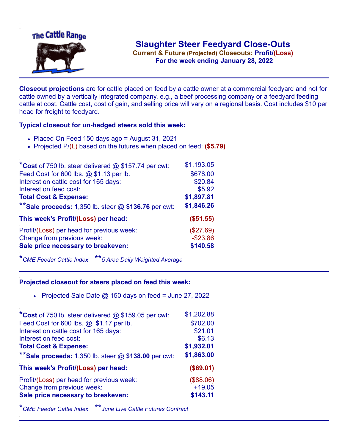

**Current & Future (Projected) Closeouts: Profit/(Loss)** .**For the week ending January 28, 2022**

**Closeout projections** are for cattle placed on feed by a cattle owner at a commercial feedyard and not for cattle owned by a vertically integrated company, e.g., a beef processing company or a feedyard feeding cattle at cost. Cattle cost, cost of gain, and selling price will vary on a regional basis. Cost includes \$10 per head for freight to feedyard.

## **Typical closeout for un-hedged steers sold this week:**

- Placed On Feed 150 days ago = August 31, 2021
- Projected P/(L) based on the futures when placed on feed: **(\$5.79)**

| *Cost of 750 lb. steer delivered $@$ \$157.74 per cwt:                  | \$1,193.05  |
|-------------------------------------------------------------------------|-------------|
| Feed Cost for 600 lbs. @ \$1.13 per lb.                                 | \$678.00    |
| Interest on cattle cost for 165 days:                                   | \$20.84     |
| Interest on feed cost:                                                  | \$5.92      |
| <b>Total Cost &amp; Expense:</b>                                        | \$1,897.81  |
| ** Sale proceeds: 1,350 lb. steer $@$ \$136.76 per cwt:                 | \$1,846.26  |
|                                                                         |             |
| This week's Profit/(Loss) per head:                                     | (\$51.55)   |
|                                                                         | (\$27.69)   |
| Profit/(Loss) per head for previous week:<br>Change from previous week: | $-$ \$23.86 |
| Sale price necessary to breakeven:                                      | \$140.58    |

\**CME Feeder Cattle Index* \*\**5 Area Daily Weighted Average*

## **Projected closeout for steers placed on feed this week:**

• Projected Sale Date  $@$  150 days on feed = June 27, 2022

| *Cost of 750 lb. steer delivered $@$ \$159.05 per cwt:  | \$1,202.88 |
|---------------------------------------------------------|------------|
| Feed Cost for 600 lbs. @ \$1.17 per lb.                 | \$702.00   |
| Interest on cattle cost for 165 days:                   | \$21.01    |
| Interest on feed cost:                                  | \$6.13     |
| <b>Total Cost &amp; Expense:</b>                        | \$1,932.01 |
| ** Sale proceeds: 1,350 lb. steer $@$ \$138.00 per cwt: | \$1,863.00 |
| This week's Profit/(Loss) per head:                     | (\$69.01)  |
| Profit/(Loss) per head for previous week:               | (\$88.06)  |
|                                                         |            |
| Change from previous week:                              | $+19.05$   |
| Sale price necessary to breakeven:                      | \$143.11   |

\**CME Feeder Cattle Index* \*\**June Live Cattle Futures Contract*